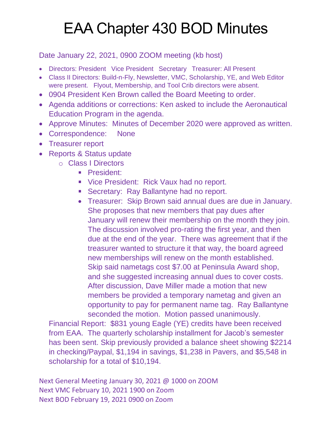## EAA Chapter 430 BOD Minutes

Date January 22, 2021, 0900 ZOOM meeting (kb host)

- Directors: President Vice President Secretary Treasurer: All Present
- Class II Directors: Build-n-Fly, Newsletter, VMC, Scholarship, YE, and Web Editor were present. Flyout, Membership, and Tool Crib directors were absent.
- 0904 President Ken Brown called the Board Meeting to order.
- Agenda additions or corrections: Ken asked to include the Aeronautical Education Program in the agenda.
- Approve Minutes: Minutes of December 2020 were approved as written.
- Correspondence: None
- Treasurer report
- Reports & Status update
	- o Class I Directors
		- **President:**
		- **Vice President: Rick Vaux had no report.**
		- **Secretary: Ray Ballantyne had no report.**
		- Treasurer: Skip Brown said annual dues are due in January. She proposes that new members that pay dues after January will renew their membership on the month they join. The discussion involved pro-rating the first year, and then due at the end of the year. There was agreement that if the treasurer wanted to structure it that way, the board agreed new memberships will renew on the month established. Skip said nametags cost \$7.00 at Peninsula Award shop, and she suggested increasing annual dues to cover costs. After discussion, Dave Miller made a motion that new members be provided a temporary nametag and given an opportunity to pay for permanent name tag. Ray Ballantyne seconded the motion. Motion passed unanimously.

Financial Report: \$831 young Eagle (YE) credits have been received from EAA. The quarterly scholarship installment for Jacob's semester has been sent. Skip previously provided a balance sheet showing \$2214 in checking/Paypal, \$1,194 in savings, \$1,238 in Pavers, and \$5,548 in scholarship for a total of \$10,194.

Next General Meeting January 30, 2021 @ 1000 on ZOOM Next VMC February 10, 2021 1900 on Zoom Next BOD February 19, 2021 0900 on Zoom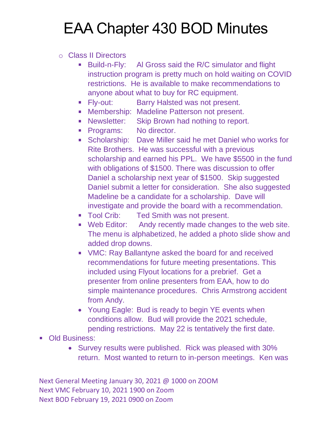## EAA Chapter 430 BOD Minutes

## o Class II Directors

- Build-n-Fly: Al Gross said the R/C simulator and flight instruction program is pretty much on hold waiting on COVID restrictions. He is available to make recommendations to anyone about what to buy for RC equipment.
- **Fiv-out:** Barry Halsted was not present.
- **Membership: Madeline Patterson not present.**
- **Newsletter:** Skip Brown had nothing to report.
- Programs: No director.
- **Scholarship:** Dave Miller said he met Daniel who works for Rite Brothers. He was successful with a previous scholarship and earned his PPL. We have \$5500 in the fund with obligations of \$1500. There was discussion to offer Daniel a scholarship next year of \$1500. Skip suggested Daniel submit a letter for consideration. She also suggested Madeline be a candidate for a scholarship. Dave will investigate and provide the board with a recommendation.
- **Tool Crib:** Ted Smith was not present.
- Web Editor: Andy recently made changes to the web site. The menu is alphabetized, he added a photo slide show and added drop downs.
- VMC: Ray Ballantyne asked the board for and received recommendations for future meeting presentations. This included using Flyout locations for a prebrief. Get a presenter from online presenters from EAA, how to do simple maintenance procedures. Chris Armstrong accident from Andy.
- Young Eagle: Bud is ready to begin YE events when conditions allow. Bud will provide the 2021 schedule, pending restrictions. May 22 is tentatively the first date.
- **Old Business:** 
	- Survey results were published. Rick was pleased with 30% return. Most wanted to return to in-person meetings. Ken was

Next General Meeting January 30, 2021 @ 1000 on ZOOM Next VMC February 10, 2021 1900 on Zoom Next BOD February 19, 2021 0900 on Zoom